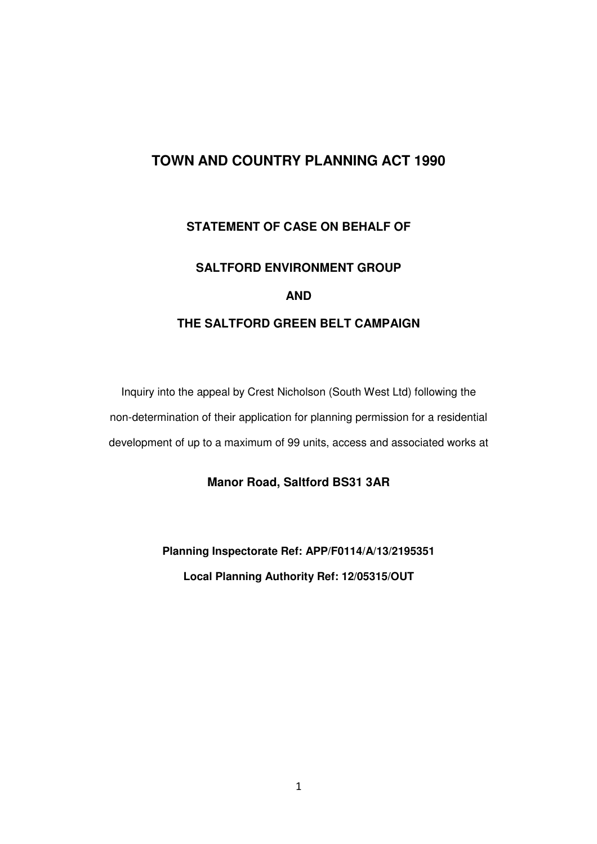# **TOWN AND COUNTRY PLANNING ACT 1990**

## **STATEMENT OF CASE ON BEHALF OF**

# **SALTFORD ENVIRONMENT GROUP AND THE SALTFORD GREEN BELT CAMPAIGN**

Inquiry into the appeal by Crest Nicholson (South West Ltd) following the non-determination of their application for planning permission for a residential development of up to a maximum of 99 units, access and associated works at

### **Manor Road, Saltford BS31 3AR**

**Planning Inspectorate Ref: APP/F0114/A/13/2195351 Local Planning Authority Ref: 12/05315/OUT**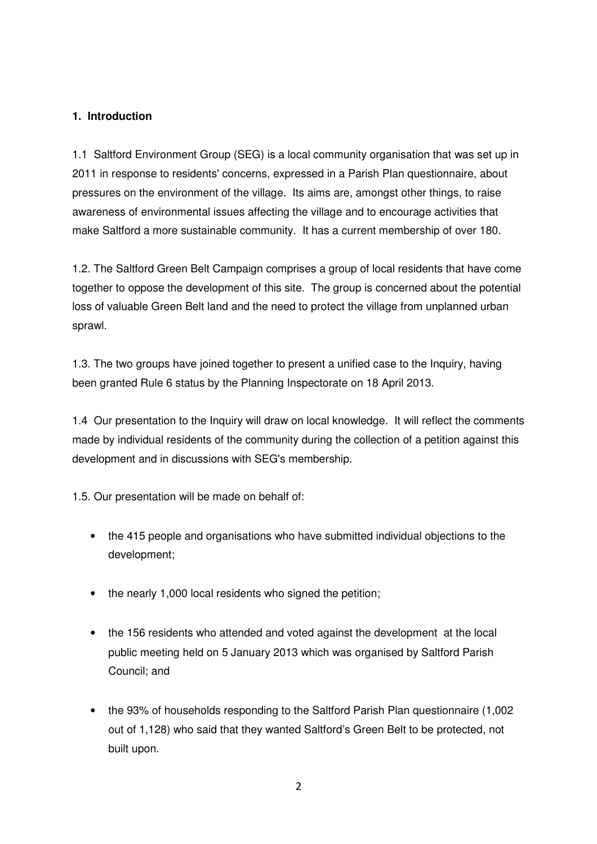#### **1. Introduction**

1.1 Saltford Environment Group (SEG) is a local community organisation that was set up in 2011 in response to residents' concerns, expressed in a Parish Plan questionnaire, about pressures on the environment of the village. Its aims are, amongst other things, to raise awareness of environmental issues affecting the village and to encourage activities that make Saltford a more sustainable community. It has a current membership of over 180.

1.2. The Saltford Green Belt Campaign comprises a group of local residents that have come together to oppose the development of this site. The group is concerned about the potential loss of valuable Green Belt land and the need to protect the village from unplanned urban sprawl.

1.3. The two groups have joined together to present a unified case to the Inquiry, having been granted Rule 6 status by the Planning Inspectorate on 18 April 2013.

1.4 Our presentation to the Inquiry will draw on local knowledge. It will reflect the comments made by individual residents of the community during the collection of a petition against this development and in discussions with SEG's membership.

1.5. Our presentation will be made on behalf of:

- the 415 people and organisations who have submitted individual objections to the development;
- the nearly 1,000 local residents who signed the petition;
- the 156 residents who attended and voted against the development at the local public meeting held on 5 January 2013 which was organised by Saltford Parish Council; and
- the 93% of households responding to the Saltford Parish Plan questionnaire (1,002 out of 1,128) who said that they wanted Saltford's Green Belt to be protected, not built upon.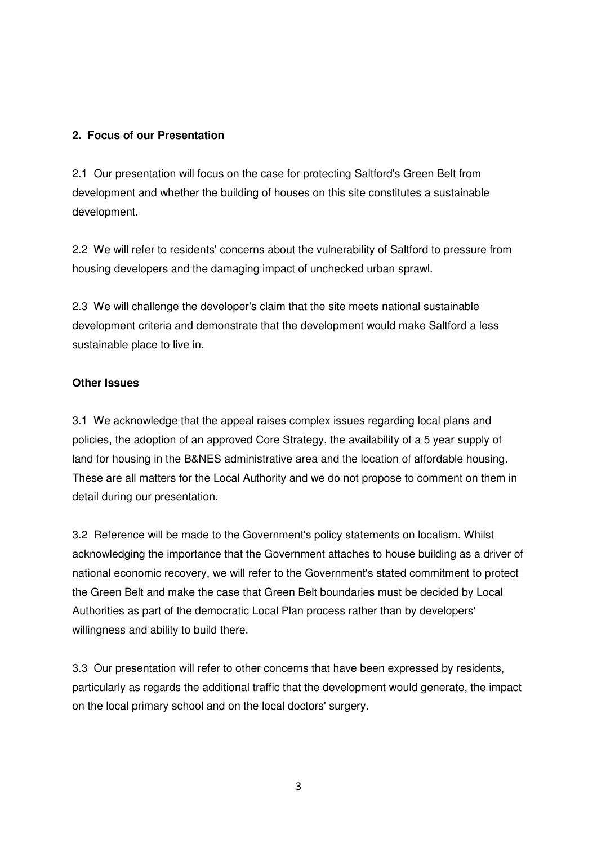#### **2. Focus of our Presentation**

2.1 Our presentation will focus on the case for protecting Saltford's Green Belt from development and whether the building of houses on this site constitutes a sustainable development.

2.2 We will refer to residents' concerns about the vulnerability of Saltford to pressure from housing developers and the damaging impact of unchecked urban sprawl.

2.3 We will challenge the developer's claim that the site meets national sustainable development criteria and demonstrate that the development would make Saltford a less sustainable place to live in.

#### **Other Issues**

3.1 We acknowledge that the appeal raises complex issues regarding local plans and policies, the adoption of an approved Core Strategy, the availability of a 5 year supply of land for housing in the B&NES administrative area and the location of affordable housing. These are all matters for the Local Authority and we do not propose to comment on them in detail during our presentation.

3.2 Reference will be made to the Government's policy statements on localism. Whilst acknowledging the importance that the Government attaches to house building as a driver of national economic recovery, we will refer to the Government's stated commitment to protect the Green Belt and make the case that Green Belt boundaries must be decided by Local Authorities as part of the democratic Local Plan process rather than by developers' willingness and ability to build there.

3.3 Our presentation will refer to other concerns that have been expressed by residents, particularly as regards the additional traffic that the development would generate, the impact on the local primary school and on the local doctors' surgery.

3